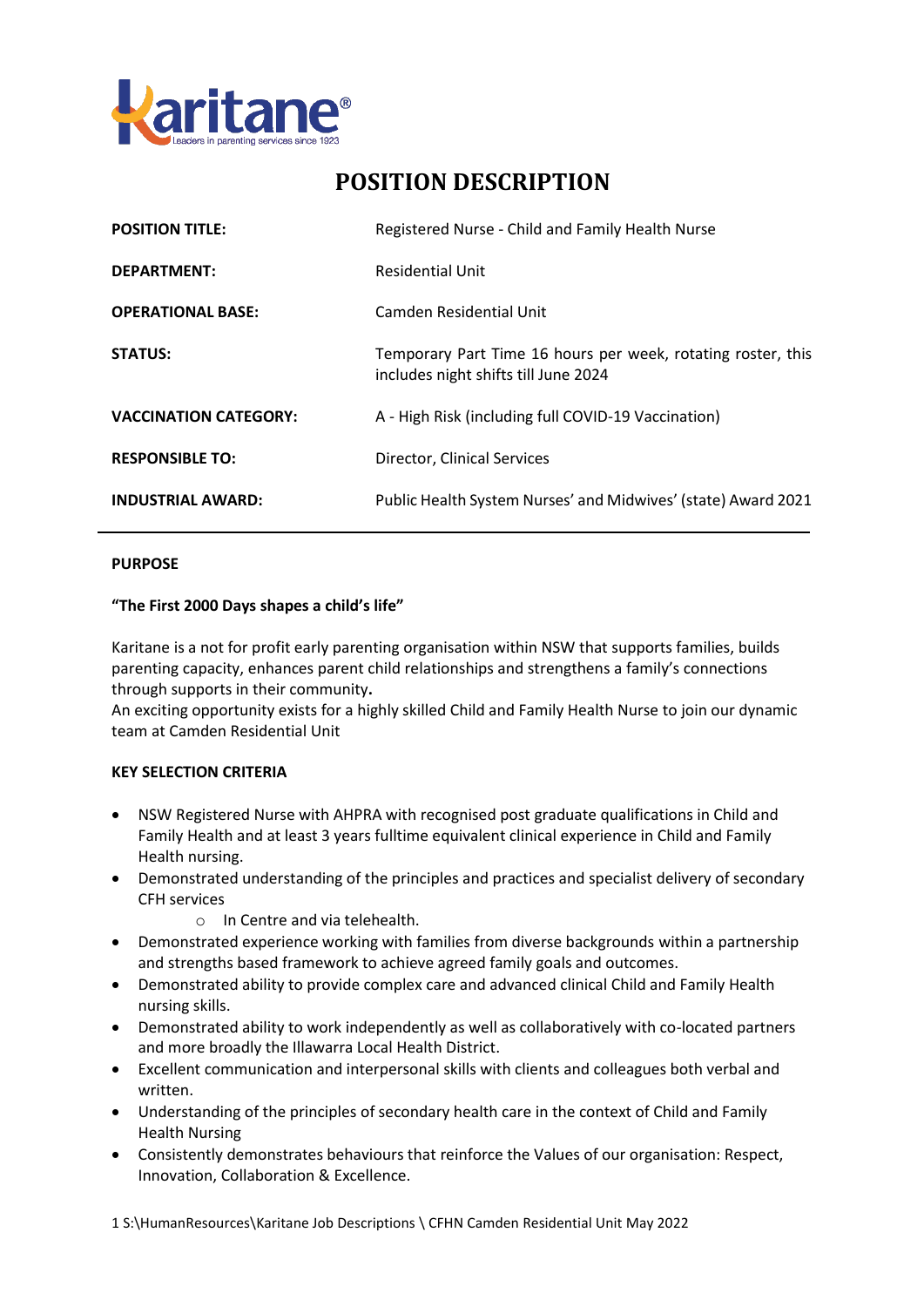

# **POSITION DESCRIPTION**

| <b>POSITION TITLE:</b>       | Registered Nurse - Child and Family Health Nurse                                                     |
|------------------------------|------------------------------------------------------------------------------------------------------|
| <b>DEPARTMENT:</b>           | <b>Residential Unit</b>                                                                              |
| <b>OPERATIONAL BASE:</b>     | Camden Residential Unit                                                                              |
| <b>STATUS:</b>               | Temporary Part Time 16 hours per week, rotating roster, this<br>includes night shifts till June 2024 |
| <b>VACCINATION CATEGORY:</b> | A - High Risk (including full COVID-19 Vaccination)                                                  |
| <b>RESPONSIBLE TO:</b>       | Director, Clinical Services                                                                          |
| <b>INDUSTRIAL AWARD:</b>     | Public Health System Nurses' and Midwives' (state) Award 2021                                        |

## **PURPOSE**

### **"The First 2000 Days shapes a child's life"**

Karitane is a not for profit early parenting organisation within NSW that supports families, builds parenting capacity, enhances parent child relationships and strengthens a family's connections through supports in their community**.** 

An exciting opportunity exists for a highly skilled Child and Family Health Nurse to join our dynamic team at Camden Residential Unit

### **KEY SELECTION CRITERIA**

- NSW Registered Nurse with AHPRA with recognised post graduate qualifications in Child and Family Health and at least 3 years fulltime equivalent clinical experience in Child and Family Health nursing.
- Demonstrated understanding of the principles and practices and specialist delivery of secondary CFH services
	- o In Centre and via telehealth.
- Demonstrated experience working with families from diverse backgrounds within a partnership and strengths based framework to achieve agreed family goals and outcomes.
- Demonstrated ability to provide complex care and advanced clinical Child and Family Health nursing skills.
- Demonstrated ability to work independently as well as collaboratively with co-located partners and more broadly the Illawarra Local Health District.
- Excellent communication and interpersonal skills with clients and colleagues both verbal and written.
- Understanding of the principles of secondary health care in the context of Child and Family Health Nursing
- Consistently demonstrates behaviours that reinforce the Values of our organisation: Respect, Innovation, Collaboration & Excellence.

1 S:\HumanResources\Karitane Job Descriptions \ CFHN Camden Residential Unit May 2022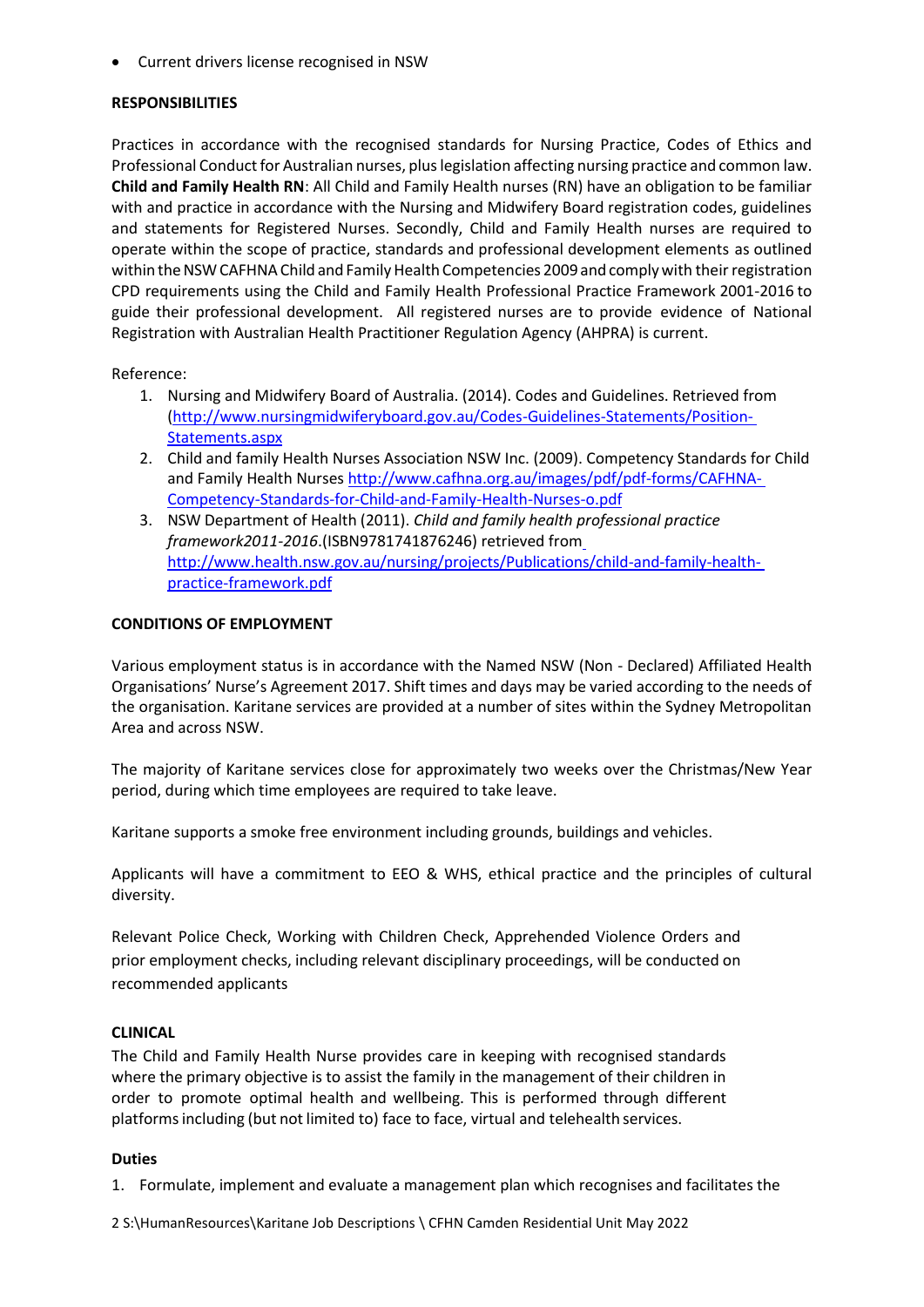Current drivers license recognised in NSW

# **RESPONSIBILITIES**

Practices in accordance with the recognised standards for Nursing Practice, Codes of Ethics and Professional Conduct for Australian nurses, plus legislation affecting nursing practice and common law. **Child and Family Health RN**: All Child and Family Health nurses (RN) have an obligation to be familiar with and practice in accordance with the Nursing and Midwifery Board registration codes, guidelines and statements for Registered Nurses. Secondly, Child and Family Health nurses are required to operate within the scope of practice, standards and professional development elements as outlined within the NSW CAFHNA Child and Family Health Competencies 2009 and comply with their registration CPD requirements using the Child and Family Health Professional Practice Framework 2001-2016 to guide their professional development. All registered nurses are to provide evidence of National Registration with Australian Health Practitioner Regulation Agency (AHPRA) is current.

Reference:

- 1. Nursing and Midwifery Board of Australia. (2014). Codes and Guidelines. Retrieved from [\(http://www.nursingmidwiferyboard.gov.au/Codes-Guidelines-Statements/Position-](http://www.nursingmidwiferyboard.gov.au/Codes-Guidelines-Statements/Position-)[Statements.aspx](http://www.nursingmidwiferyboard.gov.au/Codes-Guidelines-Statements/Position-Statements.aspx)
- 2. Child and family Health Nurses Association NSW Inc. (2009). Competency Standards for Child and Family Health Nurses [http://www.cafhna.org.au/images/pdf/pdf-forms/CAFHNA-](http://www.cafhna.org.au/images/pdf/pdf-forms/CAFHNA-Competency-Standards-for-Child-and-Family-Health-Nurses-o.pdf)[Competency-Standards-for-Child-and-Family-Health-Nurses-o.pdf](http://www.cafhna.org.au/images/pdf/pdf-forms/CAFHNA-Competency-Standards-for-Child-and-Family-Health-Nurses-o.pdf)
- 3. NSW Department of Health (2011). *Child and family health professional practice framework2011-2016*.(ISBN9781741876246) retrieved from [http://www.health.nsw.gov.au/nursing/projects/Publications/child-and-family-health](http://www.health.nsw.gov.au/nursing/projects/Publications/child-and-family-health-practice-framework.pdf)[practice-framework.pdf](http://www.health.nsw.gov.au/nursing/projects/Publications/child-and-family-health-practice-framework.pdf)

# **CONDITIONS OF EMPLOYMENT**

Various employment status is in accordance with the Named NSW (Non - Declared) Affiliated Health Organisations' Nurse's Agreement 2017. Shift times and days may be varied according to the needs of the organisation. Karitane services are provided at a number of sites within the Sydney Metropolitan Area and across NSW.

The majority of Karitane services close for approximately two weeks over the Christmas/New Year period, during which time employees are required to take leave.

Karitane supports a smoke free environment including grounds, buildings and vehicles.

Applicants will have a commitment to EEO & WHS, ethical practice and the principles of cultural diversity.

Relevant Police Check, Working with Children Check, Apprehended Violence Orders and prior employment checks, including relevant disciplinary proceedings, will be conducted on recommended applicants

# **CLINICAL**

The Child and Family Health Nurse provides care in keeping with recognised standards where the primary objective is to assist the family in the management of their children in order to promote optimal health and wellbeing. This is performed through different platformsincluding (but not limited to) face to face, virtual and telehealth services.

### **Duties**

1. Formulate, implement and evaluate a management plan which recognises and facilitates the

2 S:\HumanResources\Karitane Job Descriptions \ CFHN Camden Residential Unit May 2022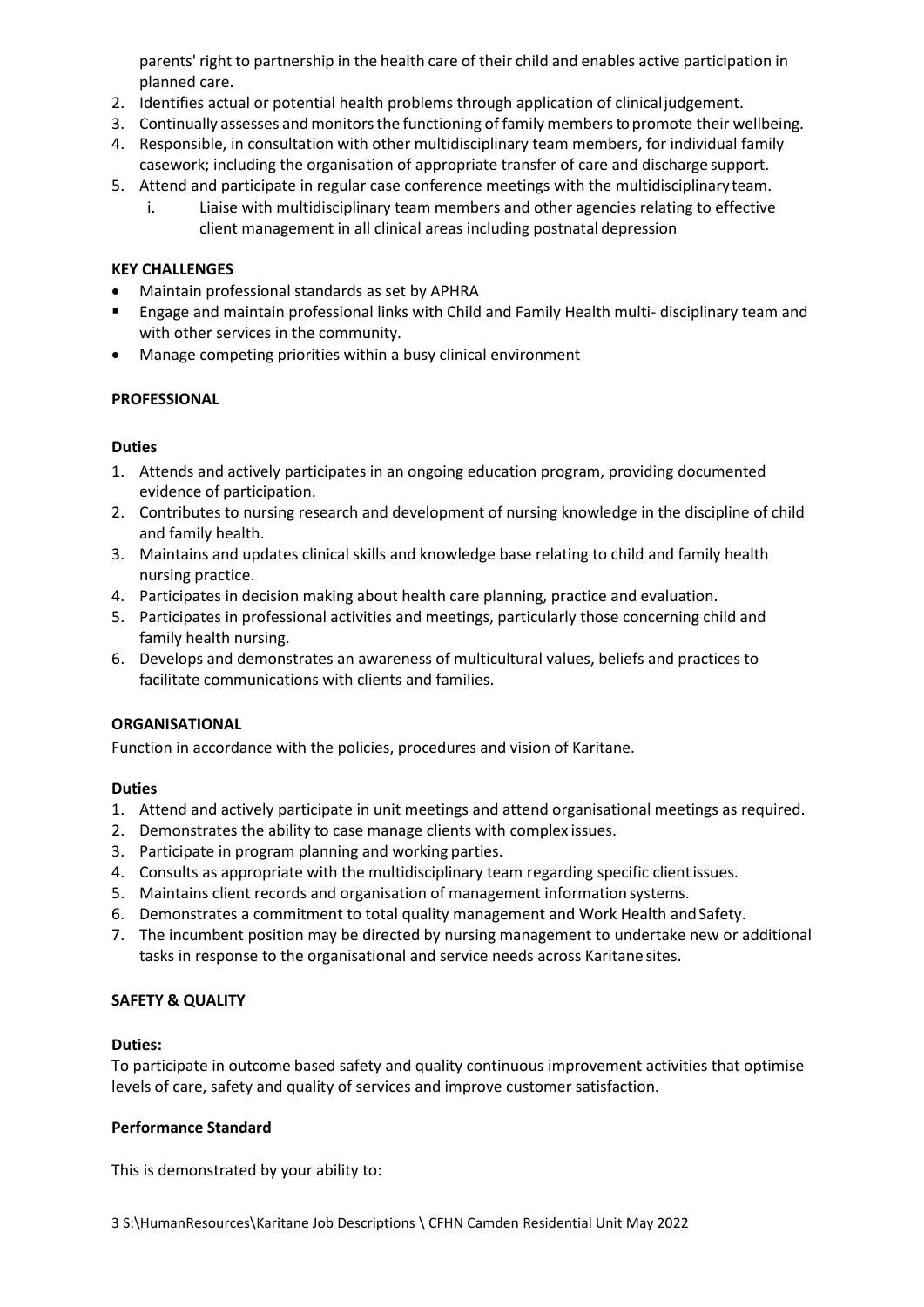parents' right to partnership in the health care of their child and enables active participation in planned care.

- 2. Identifies actual or potential health problems through application of clinicaljudgement.
- 3. Continually assesses and monitors the functioning of family members to promote their wellbeing.
- 4. Responsible, in consultation with other multidisciplinary team members, for individual family casework; including the organisation of appropriate transfer of care and discharge support.
- 5. Attend and participate in regular case conference meetings with the multidisciplinaryteam.
	- i. Liaise with multidisciplinary team members and other agencies relating to effective client management in all clinical areas including postnatal depression

# **KEY CHALLENGES**

- Maintain professional standards as set by APHRA
- Engage and maintain professional links with Child and Family Health multi- disciplinary team and with other services in the community.
- Manage competing priorities within a busy clinical environment

# **PROFESSIONAL**

# **Duties**

- 1. Attends and actively participates in an ongoing education program, providing documented evidence of participation.
- 2. Contributes to nursing research and development of nursing knowledge in the discipline of child and family health.
- 3. Maintains and updates clinical skills and knowledge base relating to child and family health nursing practice.
- 4. Participates in decision making about health care planning, practice and evaluation.
- 5. Participates in professional activities and meetings, particularly those concerning child and family health nursing.
- 6. Develops and demonstrates an awareness of multicultural values, beliefs and practices to facilitate communications with clients and families.

### **ORGANISATIONAL**

Function in accordance with the policies, procedures and vision of Karitane.

### **Duties**

- 1. Attend and actively participate in unit meetings and attend organisational meetings as required.
- 2. Demonstrates the ability to case manage clients with complex issues.
- 3. Participate in program planning and working parties.
- 4. Consults as appropriate with the multidisciplinary team regarding specific clientissues.
- 5. Maintains client records and organisation of management information systems.
- 6. Demonstrates a commitment to total quality management and Work Health andSafety.
- 7. The incumbent position may be directed by nursing management to undertake new or additional tasks in response to the organisational and service needs across Karitane sites.

# **SAFETY & QUALITY**

### **Duties:**

To participate in outcome based safety and quality continuous improvement activities that optimise levels of care, safety and quality of services and improve customer satisfaction.

### **Performance Standard**

This is demonstrated by your ability to: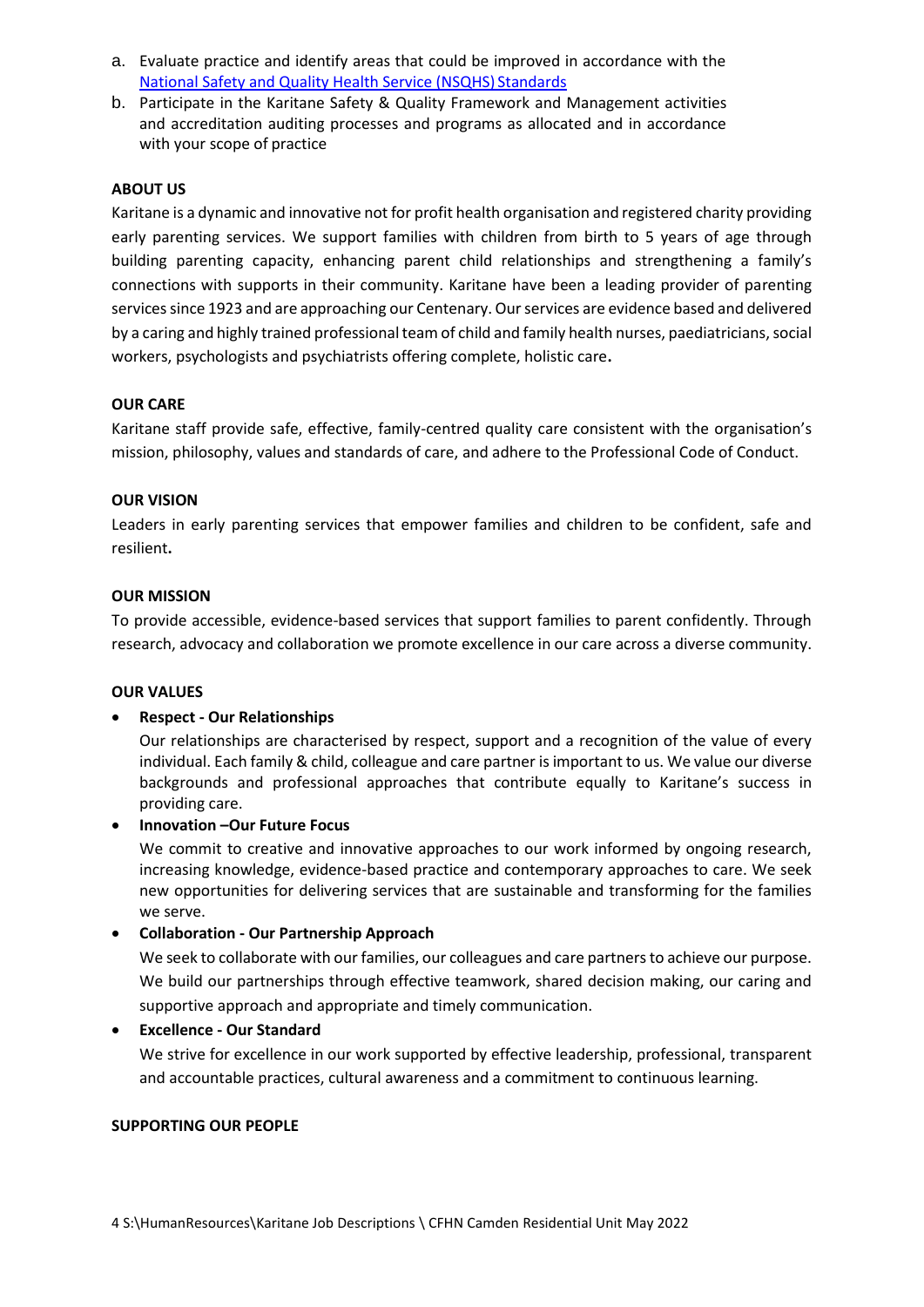- a. Evaluate practice and identify areas that could be improved in accordance with th[e](https://www.safetyandquality.gov.au/publications/national-safety-and-quality-health-service-standards/) [National Safety and Quality Health Service \(NSQHS\)](https://www.safetyandquality.gov.au/publications/national-safety-and-quality-health-service-standards/) Standards
- b. Participate in the Karitane Safety & Quality Framework and Management activities and accreditation auditing processes and programs as allocated and in accordance with your scope of practice

## **ABOUT US**

Karitane is a dynamic and innovative not for profit health organisation and registered charity providing early parenting services. We support families with children from birth to 5 years of age through building parenting capacity, enhancing parent child relationships and strengthening a family's connections with supports in their community. Karitane have been a leading provider of parenting services since 1923 and are approaching our Centenary. Our services are evidence based and delivered by a caring and highly trained professional team of child and family health nurses, paediatricians, social workers, psychologists and psychiatrists offering complete, holistic care**.**

# **OUR CARE**

Karitane staff provide safe, effective, family-centred quality care consistent with the organisation's mission, philosophy, values and standards of care, and adhere to the Professional Code of Conduct.

# **OUR VISION**

Leaders in early parenting services that empower families and children to be confident, safe and resilient**.** 

# **OUR MISSION**

To provide accessible, evidence-based services that support families to parent confidently. Through research, advocacy and collaboration we promote excellence in our care across a diverse community.

### **OUR VALUES**

# **Respect - Our Relationships**

Our relationships are characterised by respect, support and a recognition of the value of every individual. Each family & child, colleague and care partner is important to us. We value our diverse backgrounds and professional approaches that contribute equally to Karitane's success in providing care.

### **Innovation –Our Future Focus**

We commit to creative and innovative approaches to our work informed by ongoing research, increasing knowledge, evidence-based practice and contemporary approaches to care. We seek new opportunities for delivering services that are sustainable and transforming for the families we serve.

# **Collaboration - Our Partnership Approach**

We seek to collaborate with our families, our colleagues and care partners to achieve our purpose. We build our partnerships through effective teamwork, shared decision making, our caring and supportive approach and appropriate and timely communication.

# **Excellence - Our Standard**

We strive for excellence in our work supported by effective leadership, professional, transparent and accountable practices, cultural awareness and a commitment to continuous learning.

### **SUPPORTING OUR PEOPLE**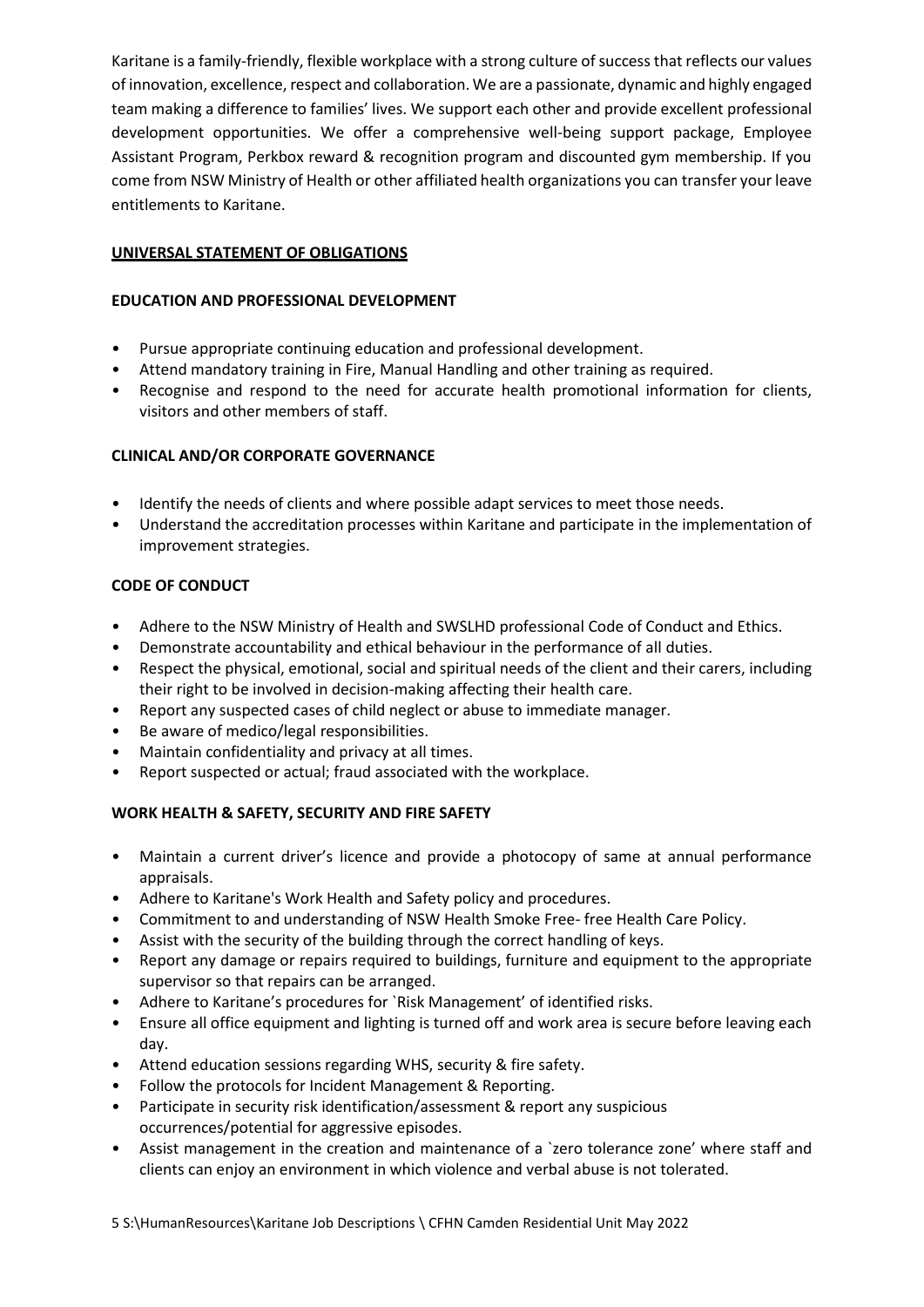Karitane is a family-friendly, flexible workplace with a strong culture of success that reflects our values of innovation, excellence, respect and collaboration. We are a passionate, dynamic and highly engaged team making a difference to families' lives. We support each other and provide excellent professional development opportunities. We offer a comprehensive well-being support package, Employee Assistant Program, Perkbox reward & recognition program and discounted gym membership. If you come from NSW Ministry of Health or other affiliated health organizations you can transfer your leave entitlements to Karitane.

# **UNIVERSAL STATEMENT OF OBLIGATIONS**

# **EDUCATION AND PROFESSIONAL DEVELOPMENT**

- Pursue appropriate continuing education and professional development.
- Attend mandatory training in Fire, Manual Handling and other training as required.
- Recognise and respond to the need for accurate health promotional information for clients, visitors and other members of staff.

# **CLINICAL AND/OR CORPORATE GOVERNANCE**

- Identify the needs of clients and where possible adapt services to meet those needs.
- Understand the accreditation processes within Karitane and participate in the implementation of improvement strategies.

# **CODE OF CONDUCT**

- Adhere to the NSW Ministry of Health and SWSLHD professional Code of Conduct and Ethics.
- Demonstrate accountability and ethical behaviour in the performance of all duties.
- Respect the physical, emotional, social and spiritual needs of the client and their carers, including their right to be involved in decision-making affecting their health care.
- Report any suspected cases of child neglect or abuse to immediate manager.
- Be aware of medico/legal responsibilities.
- Maintain confidentiality and privacy at all times.
- Report suspected or actual; fraud associated with the workplace.

# **WORK HEALTH & SAFETY, SECURITY AND FIRE SAFETY**

- Maintain a current driver's licence and provide a photocopy of same at annual performance appraisals.
- Adhere to Karitane's Work Health and Safety policy and procedures.
- Commitment to and understanding of NSW Health Smoke Free- free Health Care Policy.
- Assist with the security of the building through the correct handling of keys.
- Report any damage or repairs required to buildings, furniture and equipment to the appropriate supervisor so that repairs can be arranged.
- Adhere to Karitane's procedures for `Risk Management' of identified risks.
- Ensure all office equipment and lighting is turned off and work area is secure before leaving each day.
- Attend education sessions regarding WHS, security & fire safety.
- Follow the protocols for Incident Management & Reporting.
- Participate in security risk identification/assessment & report any suspicious occurrences/potential for aggressive episodes.
- Assist management in the creation and maintenance of a 'zero tolerance zone' where staff and clients can enjoy an environment in which violence and verbal abuse is not tolerated.

5 S:\HumanResources\Karitane Job Descriptions \ CFHN Camden Residential Unit May 2022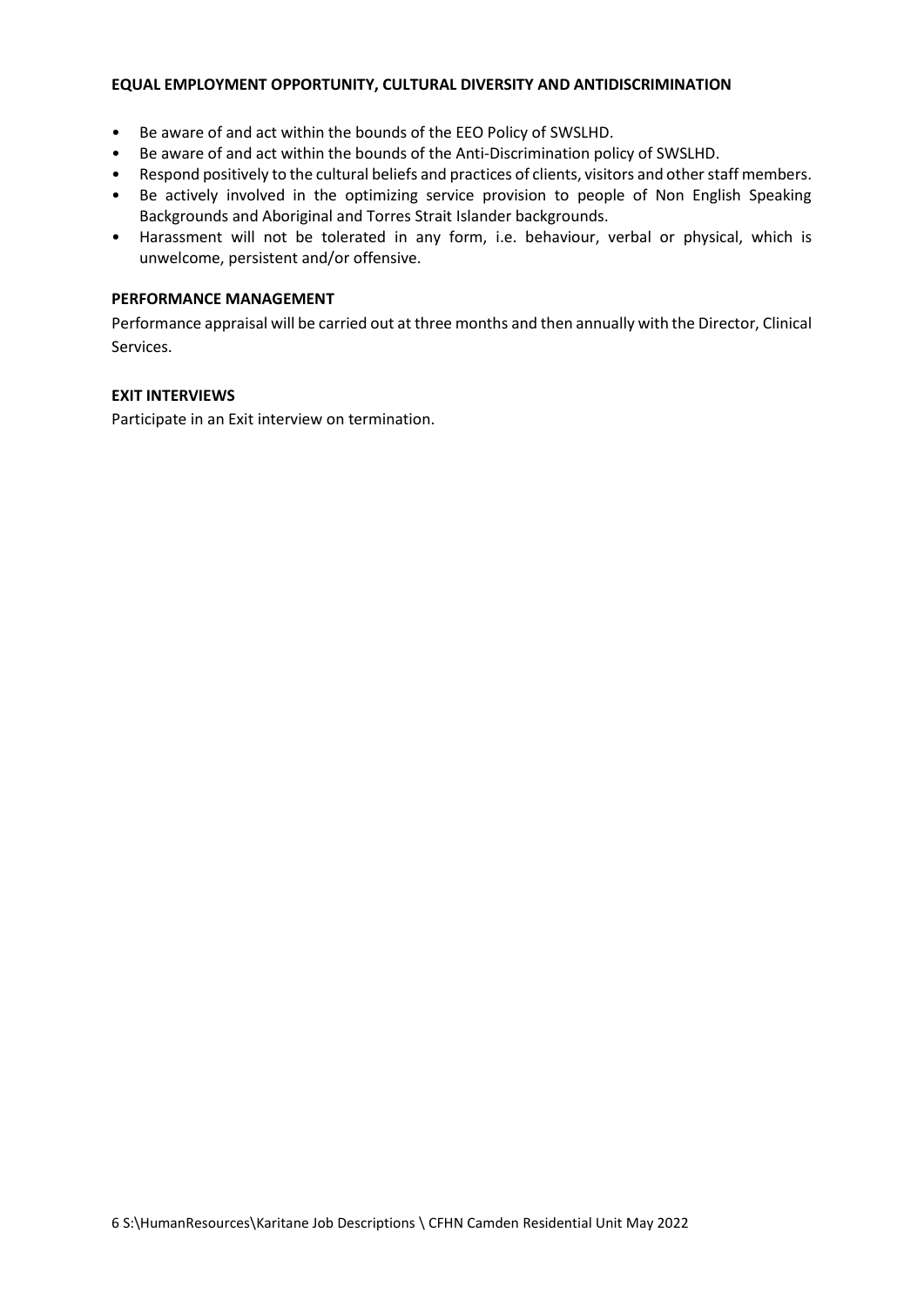#### **EQUAL EMPLOYMENT OPPORTUNITY, CULTURAL DIVERSITY AND ANTIDISCRIMINATION**

- Be aware of and act within the bounds of the EEO Policy of SWSLHD.
- Be aware of and act within the bounds of the Anti-Discrimination policy of SWSLHD.
- Respond positively to the cultural beliefs and practices of clients, visitors and other staff members.
- Be actively involved in the optimizing service provision to people of Non English Speaking Backgrounds and Aboriginal and Torres Strait Islander backgrounds.
- Harassment will not be tolerated in any form, i.e. behaviour, verbal or physical, which is unwelcome, persistent and/or offensive.

### **PERFORMANCE MANAGEMENT**

Performance appraisal will be carried out at three months and then annually with the Director, Clinical Services.

### **EXIT INTERVIEWS**

Participate in an Exit interview on termination.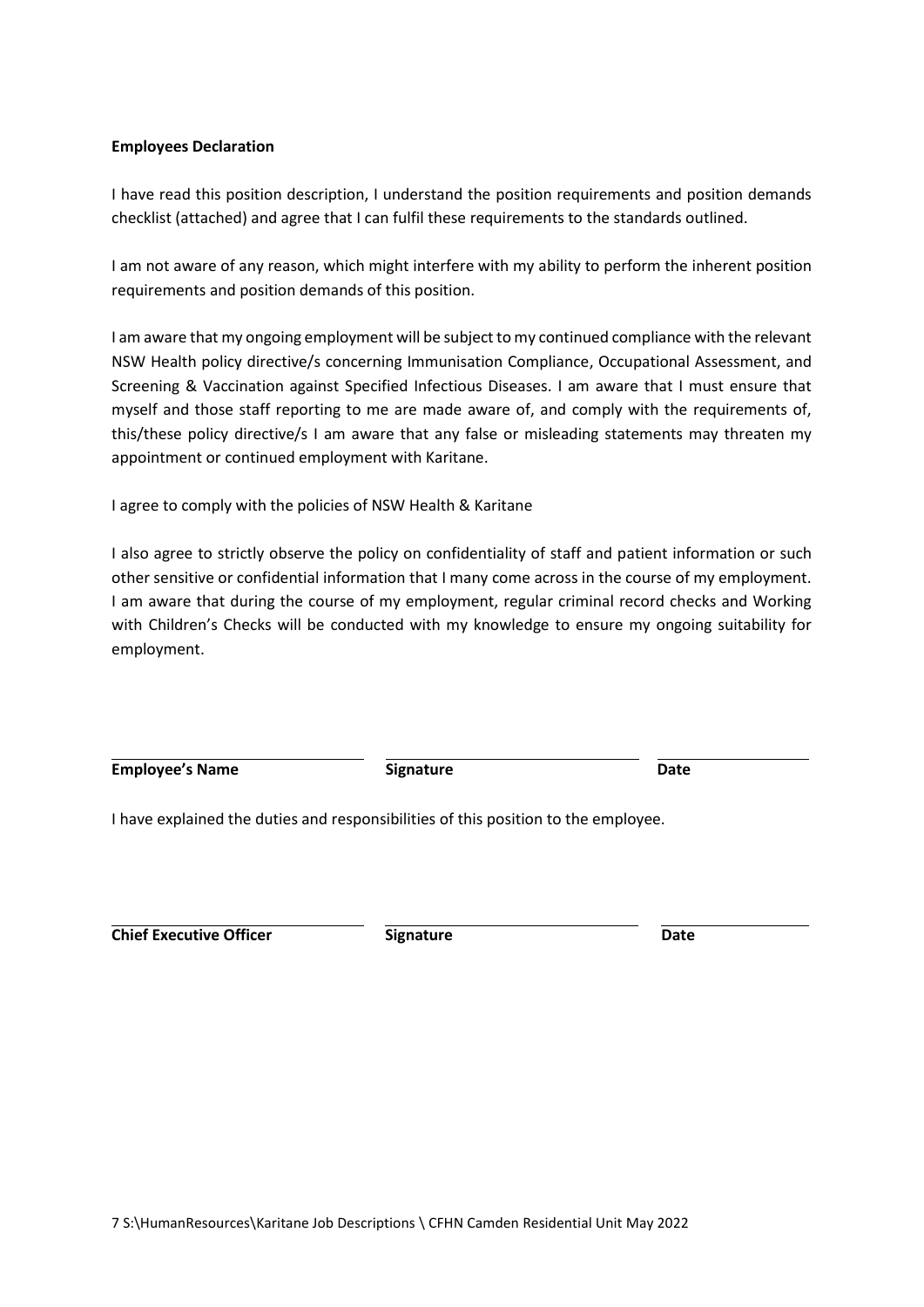#### **Employees Declaration**

I have read this position description, I understand the position requirements and position demands checklist (attached) and agree that I can fulfil these requirements to the standards outlined.

I am not aware of any reason, which might interfere with my ability to perform the inherent position requirements and position demands of this position.

I am aware that my ongoing employment will be subject to my continued compliance with the relevant NSW Health policy directive/s concerning Immunisation Compliance, Occupational Assessment, and Screening & Vaccination against Specified Infectious Diseases. I am aware that I must ensure that myself and those staff reporting to me are made aware of, and comply with the requirements of, this/these policy directive/s I am aware that any false or misleading statements may threaten my appointment or continued employment with Karitane.

I agree to comply with the policies of NSW Health & Karitane

I also agree to strictly observe the policy on confidentiality of staff and patient information or such other sensitive or confidential information that I many come across in the course of my employment. I am aware that during the course of my employment, regular criminal record checks and Working with Children's Checks will be conducted with my knowledge to ensure my ongoing suitability for employment.

**Employee's Name Construction Employee's Name Date Date** 

I have explained the duties and responsibilities of this position to the employee.

**Chief Executive Officer Signature Date**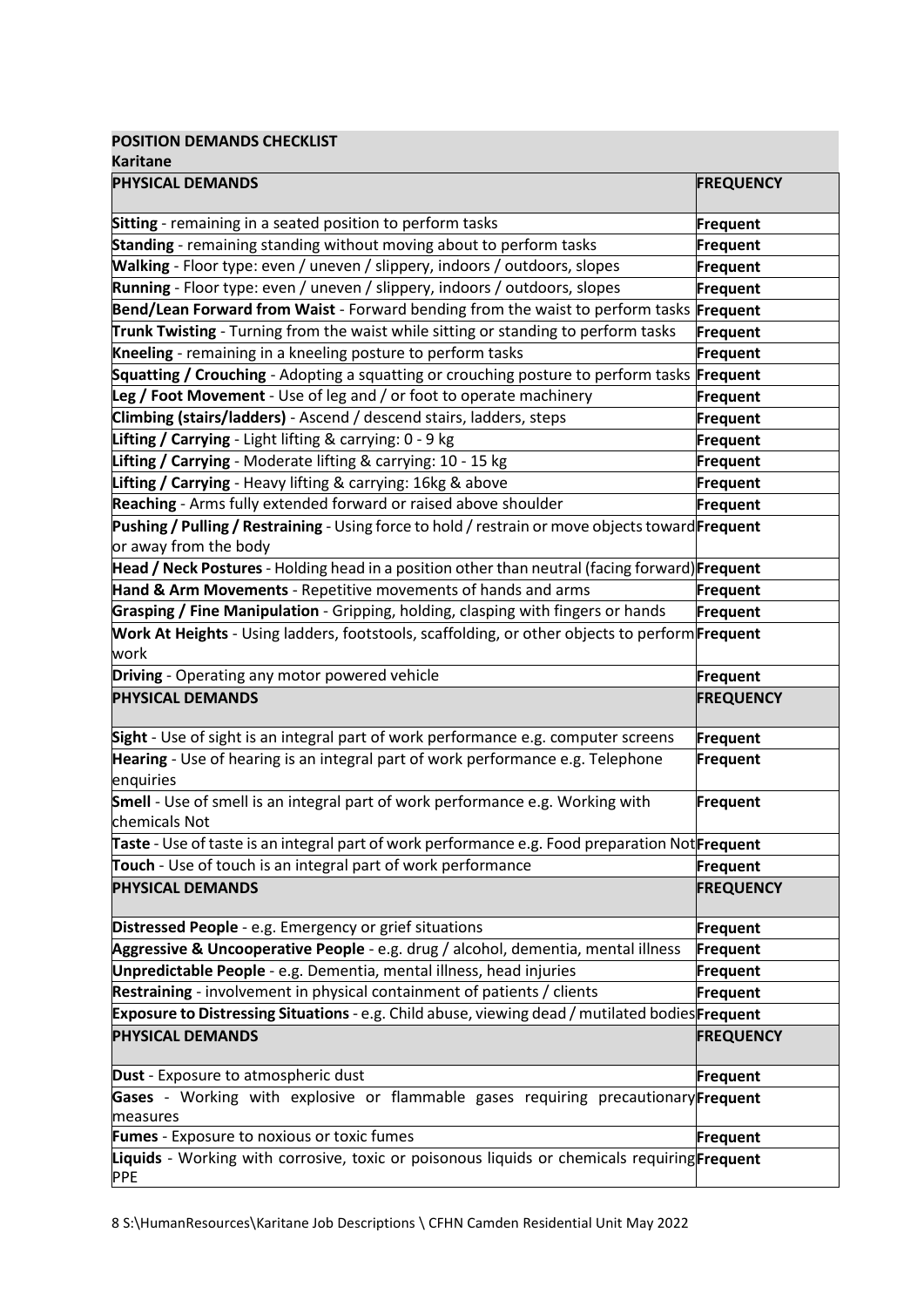**POSITION DEMANDS CHECKLIST**

| <b>Karitane</b>                                                                                                           |                  |  |  |  |
|---------------------------------------------------------------------------------------------------------------------------|------------------|--|--|--|
| PHYSICAL DEMANDS                                                                                                          | <b>FREQUENCY</b> |  |  |  |
| Sitting - remaining in a seated position to perform tasks                                                                 | Frequent         |  |  |  |
| Standing - remaining standing without moving about to perform tasks                                                       | Frequent         |  |  |  |
| Walking - Floor type: even / uneven / slippery, indoors / outdoors, slopes                                                | Frequent         |  |  |  |
| Running - Floor type: even / uneven / slippery, indoors / outdoors, slopes                                                | Frequent         |  |  |  |
| Bend/Lean Forward from Waist - Forward bending from the waist to perform tasks Frequent                                   |                  |  |  |  |
| Trunk Twisting - Turning from the waist while sitting or standing to perform tasks                                        | Frequent         |  |  |  |
| Kneeling - remaining in a kneeling posture to perform tasks                                                               | Frequent         |  |  |  |
| Squatting / Crouching - Adopting a squatting or crouching posture to perform tasks Frequent                               |                  |  |  |  |
| Leg / Foot Movement - Use of leg and / or foot to operate machinery                                                       | Frequent         |  |  |  |
| Climbing (stairs/ladders) - Ascend / descend stairs, ladders, steps                                                       | Frequent         |  |  |  |
| Lifting / Carrying - Light lifting & carrying: 0 - 9 kg                                                                   | Frequent         |  |  |  |
| Lifting / Carrying - Moderate lifting & carrying: 10 - 15 kg                                                              | Frequent         |  |  |  |
| Lifting / Carrying - Heavy lifting & carrying: 16kg & above                                                               | Frequent         |  |  |  |
| Reaching - Arms fully extended forward or raised above shoulder                                                           | Frequent         |  |  |  |
| Pushing / Pulling / Restraining - Using force to hold / restrain or move objects toward Frequent<br>or away from the body |                  |  |  |  |
| Head / Neck Postures - Holding head in a position other than neutral (facing forward)Frequent                             |                  |  |  |  |
| Hand & Arm Movements - Repetitive movements of hands and arms                                                             | Frequent         |  |  |  |
| Grasping / Fine Manipulation - Gripping, holding, clasping with fingers or hands                                          | Frequent         |  |  |  |
| Work At Heights - Using ladders, footstools, scaffolding, or other objects to perform <b>Frequent</b><br>work             |                  |  |  |  |
| Driving - Operating any motor powered vehicle                                                                             | Frequent         |  |  |  |
| <b>PHYSICAL DEMANDS</b>                                                                                                   | <b>FREQUENCY</b> |  |  |  |
| Sight - Use of sight is an integral part of work performance e.g. computer screens                                        | <b>Frequent</b>  |  |  |  |
| Hearing - Use of hearing is an integral part of work performance e.g. Telephone<br>enquiries                              | Frequent         |  |  |  |
| Smell - Use of smell is an integral part of work performance e.g. Working with<br>chemicals Not                           | Frequent         |  |  |  |
| Taste - Use of taste is an integral part of work performance e.g. Food preparation Not <b>Frequent</b>                    |                  |  |  |  |
| Touch - Use of touch is an integral part of work performance                                                              | Frequent         |  |  |  |
| <b>PHYSICAL DEMANDS</b>                                                                                                   | <b>FREQUENCY</b> |  |  |  |
| Distressed People - e.g. Emergency or grief situations                                                                    | Frequent         |  |  |  |
| Aggressive & Uncooperative People - e.g. drug / alcohol, dementia, mental illness                                         | Frequent         |  |  |  |
| Unpredictable People - e.g. Dementia, mental illness, head injuries                                                       | Frequent         |  |  |  |
| Restraining - involvement in physical containment of patients / clients                                                   | Frequent         |  |  |  |
| Exposure to Distressing Situations - e.g. Child abuse, viewing dead / mutilated bodiesFrequent                            |                  |  |  |  |
| <b>PHYSICAL DEMANDS</b>                                                                                                   | <b>FREQUENCY</b> |  |  |  |
| Dust - Exposure to atmospheric dust                                                                                       | Frequent         |  |  |  |
| Gases - Working with explosive or flammable gases requiring precautionary Frequent<br>measures                            |                  |  |  |  |
| Fumes - Exposure to noxious or toxic fumes                                                                                | Frequent         |  |  |  |
| Liquids - Working with corrosive, toxic or poisonous liquids or chemicals requiring Frequent<br><b>PPE</b>                |                  |  |  |  |